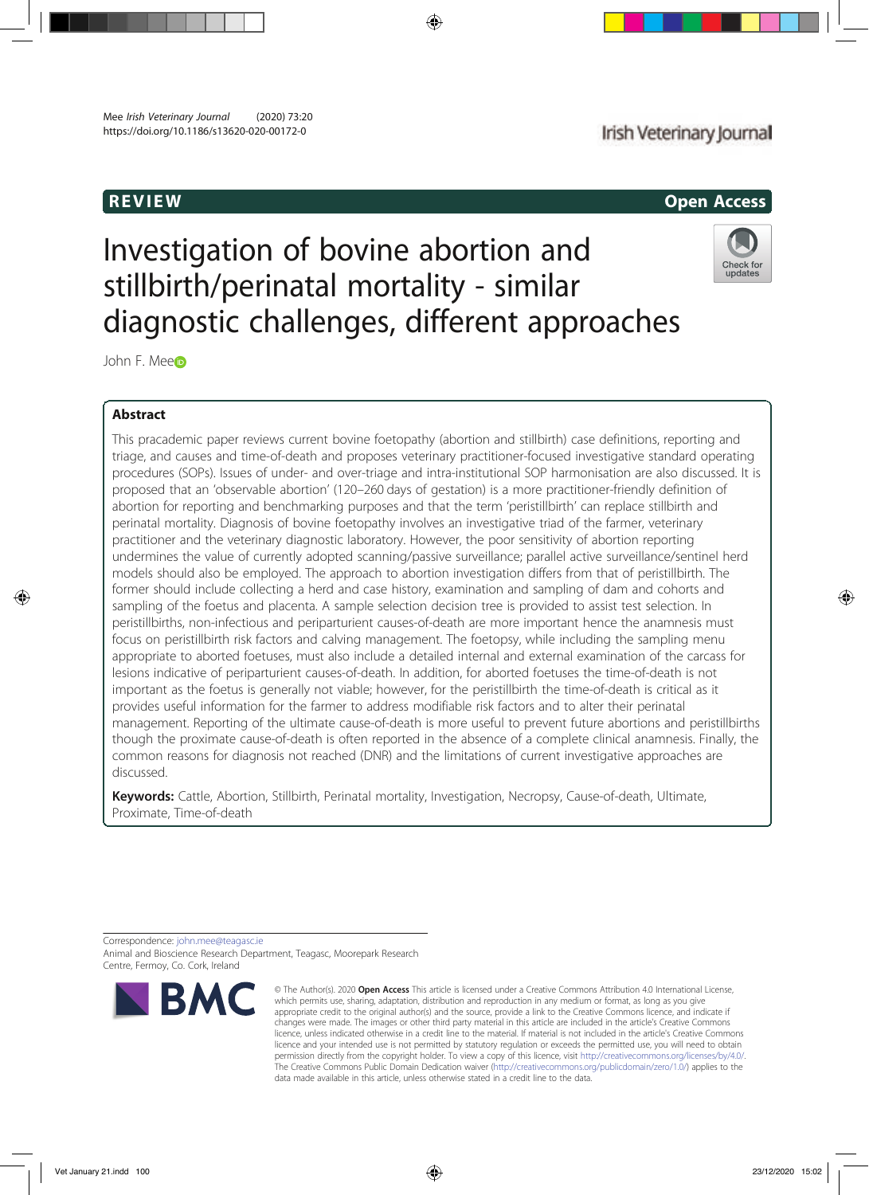# REVIEW Open Access

# Investigation of bovine abortion and stillbirth/perinatal mortality - similar diagnostic challenges, different approaches

John F. Mee

# Abstract

This pracademic paper reviews current bovine foetopathy (abortion and stillbirth) case definitions, reporting and triage, and causes and time-of-death and proposes veterinary practitioner-focused investigative standard operating procedures (SOPs). Issues of under- and over-triage and intra-institutional SOP harmonisation are also discussed. It is proposed that an 'observable abortion' (120–260 days of gestation) is a more practitioner-friendly definition of abortion for reporting and benchmarking purposes and that the term 'peristillbirth' can replace stillbirth and perinatal mortality. Diagnosis of bovine foetopathy involves an investigative triad of the farmer, veterinary practitioner and the veterinary diagnostic laboratory. However, the poor sensitivity of abortion reporting undermines the value of currently adopted scanning/passive surveillance; parallel active surveillance/sentinel herd models should also be employed. The approach to abortion investigation differs from that of peristillbirth. The former should include collecting a herd and case history, examination and sampling of dam and cohorts and sampling of the foetus and placenta. A sample selection decision tree is provided to assist test selection. In peristillbirths, non-infectious and periparturient causes-of-death are more important hence the anamnesis must focus on peristillbirth risk factors and calving management. The foetopsy, while including the sampling menu appropriate to aborted foetuses, must also include a detailed internal and external examination of the carcass for lesions indicative of periparturient causes-of-death. In addition, for aborted foetuses the time-of-death is not important as the foetus is generally not viable; however, for the peristillbirth the time-of-death is critical as it provides useful information for the farmer to address modifiable risk factors and to alter their perinatal management. Reporting of the ultimate cause-of-death is more useful to prevent future abortions and peristillbirths though the proximate cause-of-death is often reported in the absence of a complete clinical anamnesis. Finally, the common reasons for diagnosis not reached (DNR) and the limitations of current investigative approaches are discussed.

Keywords: Cattle, Abortion, Stillbirth, Perinatal mortality, Investigation, Necropsy, Cause-of-death, Ultimate, Proximate, Time-of-death

Correspondence: john.mee@teagasc.ie

Animal and Bioscience Research Department, Teagasc, Moorepark Research Centre, Fermoy, Co. Cork, Ireland



<sup>©</sup> The Author(s). 2020 Open Access This article is licensed under a Creative Commons Attribution 4.0 International License, which permits use, sharing, adaptation, distribution and reproduction in any medium or format, as long as you give appropriate credit to the original author(s) and the source, provide a link to the Creative Commons licence, and indicate if changes were made. The images or other third party material in this article are included in the article's Creative Commons licence, unless indicated otherwise in a credit line to the material. If material is not included in the article's Creative Commons licence and your intended use is not permitted by statutory regulation or exceeds the permitted use, you will need to obtain permission directly from the copyright holder. To view a copy of this licence, visit http://creativecommons.org/licenses/by/4.0/. The Creative Commons Public Domain Dedication waiver (http://creativecommons.org/publicdomain/zero/1.0/) applies to the data made available in this article, unless otherwise stated in a credit line to the data.

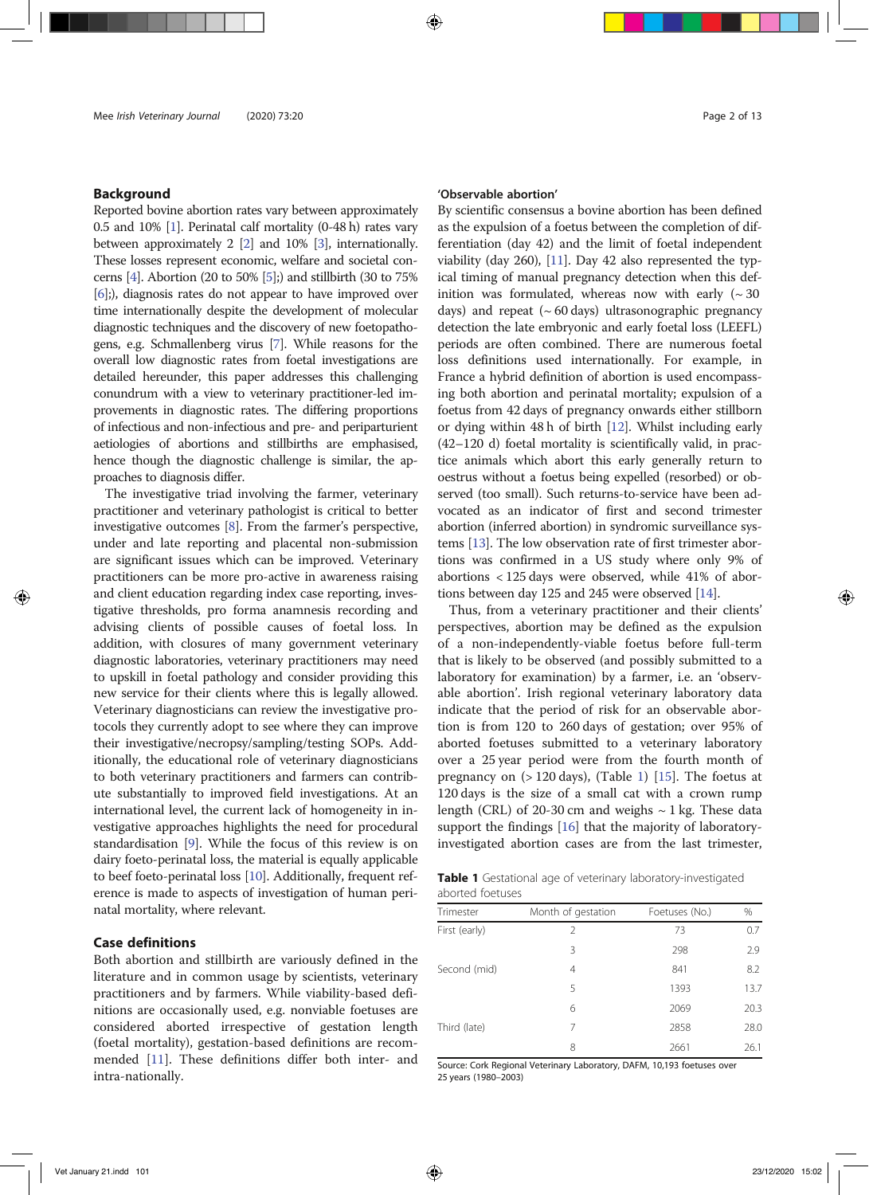#### Background

Reported bovine abortion rates vary between approximately 0.5 and 10% [1]. Perinatal calf mortality (0-48 h) rates vary between approximately 2 [2] and 10% [3], internationally. These losses represent economic, welfare and societal concerns [4]. Abortion (20 to 50% [5];) and stillbirth (30 to 75% [6];), diagnosis rates do not appear to have improved over time internationally despite the development of molecular diagnostic techniques and the discovery of new foetopathogens, e.g. Schmallenberg virus [7]. While reasons for the overall low diagnostic rates from foetal investigations are detailed hereunder, this paper addresses this challenging conundrum with a view to veterinary practitioner-led improvements in diagnostic rates. The differing proportions of infectious and non-infectious and pre- and periparturient aetiologies of abortions and stillbirths are emphasised, hence though the diagnostic challenge is similar, the approaches to diagnosis differ.

The investigative triad involving the farmer, veterinary practitioner and veterinary pathologist is critical to better investigative outcomes [8]. From the farmer's perspective, under and late reporting and placental non-submission are significant issues which can be improved. Veterinary practitioners can be more pro-active in awareness raising and client education regarding index case reporting, investigative thresholds, pro forma anamnesis recording and advising clients of possible causes of foetal loss. In addition, with closures of many government veterinary diagnostic laboratories, veterinary practitioners may need to upskill in foetal pathology and consider providing this new service for their clients where this is legally allowed. Veterinary diagnosticians can review the investigative protocols they currently adopt to see where they can improve their investigative/necropsy/sampling/testing SOPs. Additionally, the educational role of veterinary diagnosticians to both veterinary practitioners and farmers can contribute substantially to improved field investigations. At an international level, the current lack of homogeneity in investigative approaches highlights the need for procedural standardisation [9]. While the focus of this review is on dairy foeto-perinatal loss, the material is equally applicable to beef foeto-perinatal loss [10]. Additionally, frequent reference is made to aspects of investigation of human perinatal mortality, where relevant.

#### Case definitions

Both abortion and stillbirth are variously defined in the literature and in common usage by scientists, veterinary practitioners and by farmers. While viability-based definitions are occasionally used, e.g. nonviable foetuses are considered aborted irrespective of gestation length (foetal mortality), gestation-based definitions are recommended [11]. These definitions differ both inter- and intra-nationally.

#### 'Observable abortion'

By scientific consensus a bovine abortion has been defined as the expulsion of a foetus between the completion of differentiation (day 42) and the limit of foetal independent viability (day 260), [11]. Day 42 also represented the typical timing of manual pregnancy detection when this definition was formulated, whereas now with early  $({\sim}30$ days) and repeat  $({\sim}60 \text{ days})$  ultrasonographic pregnancy detection the late embryonic and early foetal loss (LEEFL) periods are often combined. There are numerous foetal loss definitions used internationally. For example, in France a hybrid definition of abortion is used encompassing both abortion and perinatal mortality; expulsion of a foetus from 42 days of pregnancy onwards either stillborn or dying within 48 h of birth [12]. Whilst including early (42–120 d) foetal mortality is scientifically valid, in practice animals which abort this early generally return to oestrus without a foetus being expelled (resorbed) or observed (too small). Such returns-to-service have been advocated as an indicator of first and second trimester abortion (inferred abortion) in syndromic surveillance systems [13]. The low observation rate of first trimester abortions was confirmed in a US study where only 9% of abortions < 125 days were observed, while 41% of abortions between day 125 and 245 were observed [14].

Thus, from a veterinary practitioner and their clients' perspectives, abortion may be defined as the expulsion of a non-independently-viable foetus before full-term that is likely to be observed (and possibly submitted to a laboratory for examination) by a farmer, i.e. an 'observable abortion'. Irish regional veterinary laboratory data indicate that the period of risk for an observable abortion is from 120 to 260 days of gestation; over 95% of aborted foetuses submitted to a veterinary laboratory over a 25 year period were from the fourth month of pregnancy on  $($  > 120 days), (Table 1) [15]. The foetus at 120 days is the size of a small cat with a crown rump length (CRL) of 20-30 cm and weighs  $\sim$  1 kg. These data support the findings [16] that the majority of laboratoryinvestigated abortion cases are from the last trimester,

Table 1 Gestational age of veterinary laboratory-investigated aborted foetuses

| Trimester     | Month of gestation | Foetuses (No.) | %    |
|---------------|--------------------|----------------|------|
| First (early) | $\mathcal{P}$      | 73             | 0.7  |
|               | 3                  | 298            | 2.9  |
| Second (mid)  | 4                  | 841            | 8.2  |
|               | 5                  | 1393           | 13.7 |
|               | 6                  | 2069           | 20.3 |
| Third (late)  | 7                  | 2858           | 28.0 |
|               | 8                  | 2661           | 26.1 |

Source: Cork Regional Veterinary Laboratory, DAFM, 10,193 foetuses over 25 years (1980–2003)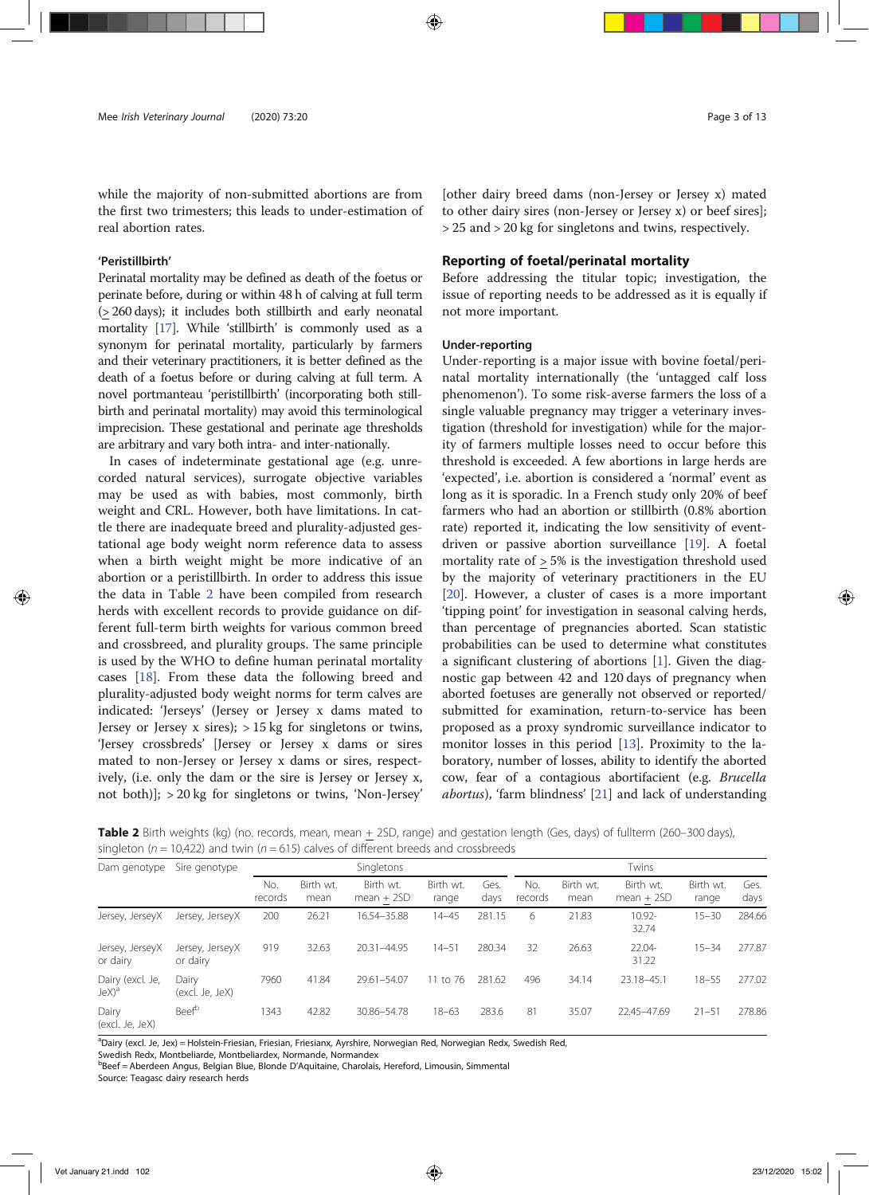while the majority of non-submitted abortions are from the first two trimesters; this leads to under-estimation of real abortion rates.

### 'Peristillbirth'

Perinatal mortality may be defined as death of the foetus or perinate before, during or within 48 h of calving at full term (> 260 days); it includes both stillbirth and early neonatal mortality [17]. While 'stillbirth' is commonly used as a synonym for perinatal mortality, particularly by farmers and their veterinary practitioners, it is better defined as the death of a foetus before or during calving at full term. A novel portmanteau 'peristillbirth' (incorporating both stillbirth and perinatal mortality) may avoid this terminological imprecision. These gestational and perinate age thresholds are arbitrary and vary both intra- and inter-nationally.

In cases of indeterminate gestational age (e.g. unrecorded natural services), surrogate objective variables may be used as with babies, most commonly, birth weight and CRL. However, both have limitations. In cattle there are inadequate breed and plurality-adjusted gestational age body weight norm reference data to assess when a birth weight might be more indicative of an abortion or a peristillbirth. In order to address this issue the data in Table 2 have been compiled from research herds with excellent records to provide guidance on different full-term birth weights for various common breed and crossbreed, and plurality groups. The same principle is used by the WHO to define human perinatal mortality cases [18]. From these data the following breed and plurality-adjusted body weight norms for term calves are indicated: 'Jerseys' (Jersey or Jersey x dams mated to Jersey or Jersey x sires);  $> 15$  kg for singletons or twins, 'Jersey crossbreds' [Jersey or Jersey x dams or sires mated to non-Jersey or Jersey x dams or sires, respectively, (i.e. only the dam or the sire is Jersey or Jersey x, not both)]; > 20 kg for singletons or twins, 'Non-Jersey'

[other dairy breed dams (non-Jersey or Jersey x) mated to other dairy sires (non-Jersey or Jersey x) or beef sires]; > 25 and > 20 kg for singletons and twins, respectively.

#### Reporting of foetal/perinatal mortality

Before addressing the titular topic; investigation, the issue of reporting needs to be addressed as it is equally if not more important.

#### Under-reporting

Under-reporting is a major issue with bovine foetal/perinatal mortality internationally (the 'untagged calf loss phenomenon'). To some risk-averse farmers the loss of a single valuable pregnancy may trigger a veterinary investigation (threshold for investigation) while for the majority of farmers multiple losses need to occur before this threshold is exceeded. A few abortions in large herds are 'expected', i.e. abortion is considered a 'normal' event as long as it is sporadic. In a French study only 20% of beef farmers who had an abortion or stillbirth (0.8% abortion rate) reported it, indicating the low sensitivity of eventdriven or passive abortion surveillance [19]. A foetal mortality rate of > 5% is the investigation threshold used by the majority of veterinary practitioners in the EU [20]. However, a cluster of cases is a more important 'tipping point' for investigation in seasonal calving herds, than percentage of pregnancies aborted. Scan statistic probabilities can be used to determine what constitutes a significant clustering of abortions [1]. Given the diagnostic gap between 42 and 120 days of pregnancy when aborted foetuses are generally not observed or reported/ submitted for examination, return-to-service has been proposed as a proxy syndromic surveillance indicator to monitor losses in this period [13]. Proximity to the laboratory, number of losses, ability to identify the aborted cow, fear of a contagious abortifacient (e.g. Brucella abortus), 'farm blindness' [21] and lack of understanding

Table 2 Birth weights (kg) (no. records, mean, mean + 2SD, range) and gestation length (Ges, days) of fullterm (260–300 days), singleton ( $n = 10,422$ ) and twin ( $n = 615$ ) calves of different breeds and crossbreeds

| Dam genotype                 | Sire genotype               |                |                   | Singletons                |                    |              | Twins          |                   |                           |                    |              |
|------------------------------|-----------------------------|----------------|-------------------|---------------------------|--------------------|--------------|----------------|-------------------|---------------------------|--------------------|--------------|
|                              |                             | No.<br>records | Birth wt.<br>mean | Birth wt.<br>$mean + 2SD$ | Birth wt.<br>range | Ges.<br>days | No.<br>records | Birth wt.<br>mean | Birth wt.<br>$mean + 2SD$ | Birth wt.<br>range | Ges.<br>days |
| Jersey, JerseyX              | Jersey, JerseyX             | 200            | 26.21             | 16.54-35.88               | 14-45              | 281.15       | 6              | 21.83             | $10.92 -$<br>32.74        | $15 - 30$          | 284.66       |
| Jersey, JerseyX<br>or dairy  | Jersey, JerseyX<br>or dairy | 919            | 32.63             | 20.31-44.95               | $14 - 51$          | 280.34       | 32             | 26.63             | $22.04 -$<br>31.22        | $15 - 34$          | 277.87       |
| Dairy (excl. Je,<br>$JeX)^a$ | Dairy<br>(excl. Je, JeX)    | 7960           | 41.84             | 29.61-54.07               | $11$ to $76$       | 281.62       | 496            | 34.14             | 23.18-45.1                | $18 - 55$          | 277.02       |
| Dairy<br>(excl. Je, JeX)     | Beef <sup>b</sup>           | 343            | 42.82             | 30.86-54.78               | $18 - 63$          | 283.6        | 81             | 35.07             | 22.45-47.69               | $21 - 51$          | 278.86       |

a Dairy (excl. Je, Jex) = Holstein-Friesian, Friesian, Friesianx, Ayrshire, Norwegian Red, Norwegian Redx, Swedish Red,

Swedish Redx, Montbeliarde, Montbeliardex, Normande, Normandex

<sup>b</sup>Beef = Aberdeen Angus, Belgian Blue, Blonde D'Aquitaine, Charolais, Hereford, Limousin, Simmental

Source: Teagasc dairy research herds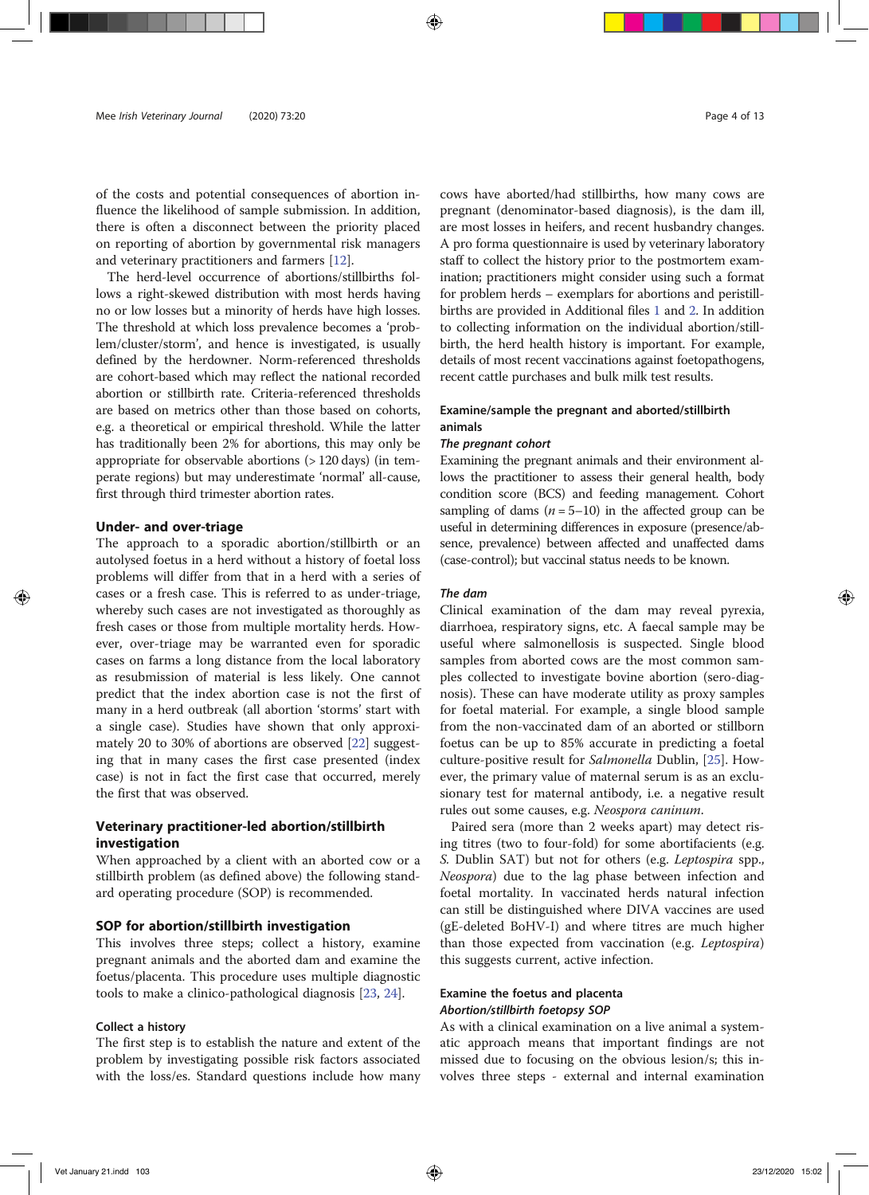of the costs and potential consequences of abortion influence the likelihood of sample submission. In addition, there is often a disconnect between the priority placed on reporting of abortion by governmental risk managers and veterinary practitioners and farmers [12].

The herd-level occurrence of abortions/stillbirths follows a right-skewed distribution with most herds having no or low losses but a minority of herds have high losses. The threshold at which loss prevalence becomes a 'problem/cluster/storm', and hence is investigated, is usually defined by the herdowner. Norm-referenced thresholds are cohort-based which may reflect the national recorded abortion or stillbirth rate. Criteria-referenced thresholds are based on metrics other than those based on cohorts, e.g. a theoretical or empirical threshold. While the latter has traditionally been 2% for abortions, this may only be appropriate for observable abortions (> 120 days) (in temperate regions) but may underestimate 'normal' all-cause, first through third trimester abortion rates.

#### Under- and over-triage

The approach to a sporadic abortion/stillbirth or an autolysed foetus in a herd without a history of foetal loss problems will differ from that in a herd with a series of cases or a fresh case. This is referred to as under-triage, whereby such cases are not investigated as thoroughly as fresh cases or those from multiple mortality herds. However, over-triage may be warranted even for sporadic cases on farms a long distance from the local laboratory as resubmission of material is less likely. One cannot predict that the index abortion case is not the first of many in a herd outbreak (all abortion 'storms' start with a single case). Studies have shown that only approximately 20 to 30% of abortions are observed [22] suggesting that in many cases the first case presented (index case) is not in fact the first case that occurred, merely the first that was observed.

# Veterinary practitioner-led abortion/stillbirth investigation

When approached by a client with an aborted cow or a stillbirth problem (as defined above) the following standard operating procedure (SOP) is recommended.

#### SOP for abortion/stillbirth investigation

This involves three steps; collect a history, examine pregnant animals and the aborted dam and examine the foetus/placenta. This procedure uses multiple diagnostic tools to make a clinico-pathological diagnosis [23, 24].

#### Collect a history

The first step is to establish the nature and extent of the problem by investigating possible risk factors associated with the loss/es. Standard questions include how many

cows have aborted/had stillbirths, how many cows are pregnant (denominator-based diagnosis), is the dam ill, are most losses in heifers, and recent husbandry changes. A pro forma questionnaire is used by veterinary laboratory staff to collect the history prior to the postmortem examination; practitioners might consider using such a format for problem herds – exemplars for abortions and peristillbirths are provided in Additional files 1 and 2. In addition to collecting information on the individual abortion/stillbirth, the herd health history is important. For example, details of most recent vaccinations against foetopathogens, recent cattle purchases and bulk milk test results.

## Examine/sample the pregnant and aborted/stillbirth animals

#### The pregnant cohort

Examining the pregnant animals and their environment allows the practitioner to assess their general health, body condition score (BCS) and feeding management. Cohort sampling of dams ( $n = 5-10$ ) in the affected group can be useful in determining differences in exposure (presence/absence, prevalence) between affected and unaffected dams (case-control); but vaccinal status needs to be known.

#### The dam

Clinical examination of the dam may reveal pyrexia, diarrhoea, respiratory signs, etc. A faecal sample may be useful where salmonellosis is suspected. Single blood samples from aborted cows are the most common samples collected to investigate bovine abortion (sero-diagnosis). These can have moderate utility as proxy samples for foetal material. For example, a single blood sample from the non-vaccinated dam of an aborted or stillborn foetus can be up to 85% accurate in predicting a foetal culture-positive result for Salmonella Dublin, [25]. However, the primary value of maternal serum is as an exclusionary test for maternal antibody, i.e. a negative result rules out some causes, e.g. Neospora caninum.

Paired sera (more than 2 weeks apart) may detect rising titres (two to four-fold) for some abortifacients (e.g. S. Dublin SAT) but not for others (e.g. Leptospira spp., Neospora) due to the lag phase between infection and foetal mortality. In vaccinated herds natural infection can still be distinguished where DIVA vaccines are used (gE-deleted BoHV-I) and where titres are much higher than those expected from vaccination (e.g. Leptospira) this suggests current, active infection.

#### Examine the foetus and placenta Abortion/stillbirth foetopsy SOP

As with a clinical examination on a live animal a systematic approach means that important findings are not missed due to focusing on the obvious lesion/s; this involves three steps - external and internal examination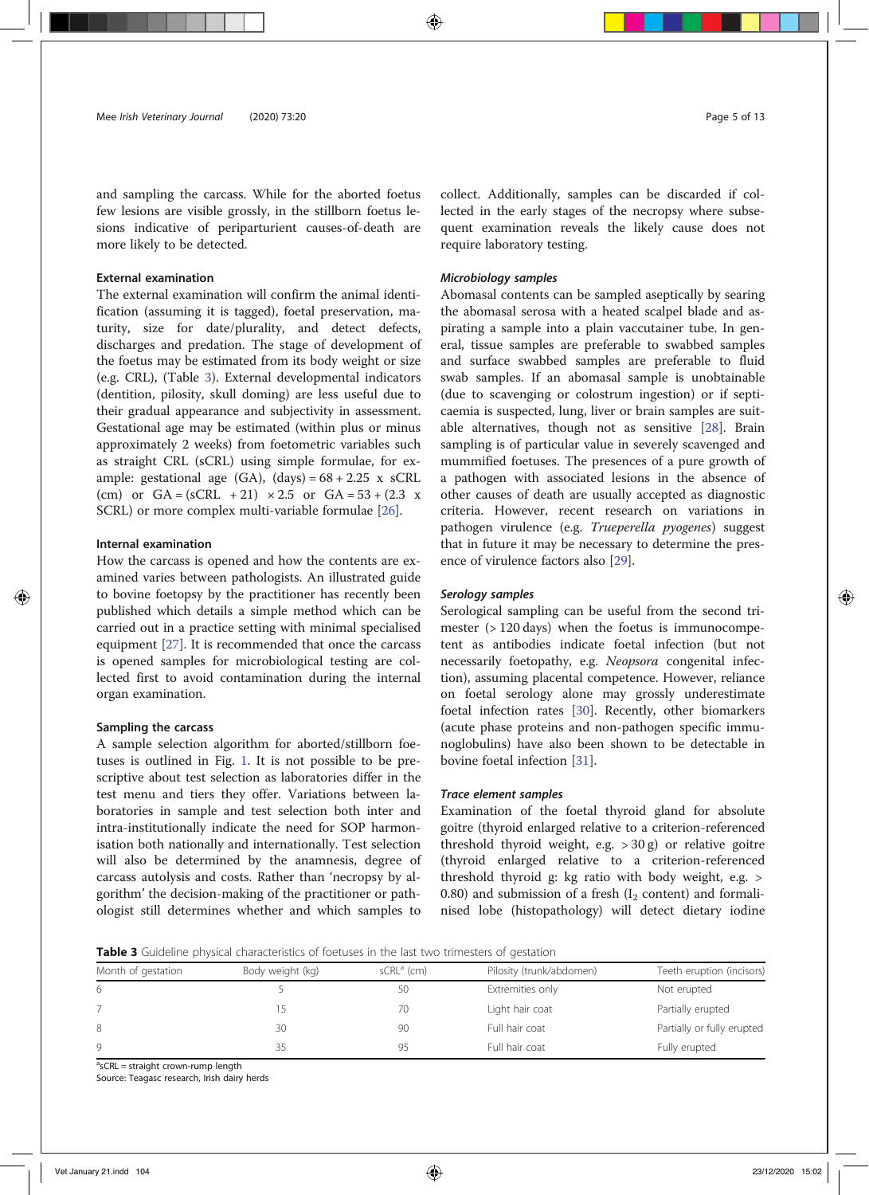and sampling the carcass. While for the aborted foetus few lesions are visible grossly, in the stillborn foetus lesions indicative of periparturient causes-of-death are more likely to be detected.

#### External examination

The external examination will confirm the animal identification (assuming it is tagged), foetal preservation, maturity, size for date/plurality, and detect defects, discharges and predation. The stage of development of the foetus may be estimated from its body weight or size (e.g. CRL), (Table 3). External developmental indicators (dentition, pilosity, skull doming) are less useful due to their gradual appearance and subjectivity in assessment. Gestational age may be estimated (within plus or minus approximately 2 weeks) from foetometric variables such as straight CRL (sCRL) using simple formulae, for example: gestational age  $(GA)$ ,  $(days) = 68 + 2.25$  x sCRL (cm) or  $GA = (sCRL + 21) \times 2.5$  or  $GA = 53 + (2.3 \times 10^{-13})$ SCRL) or more complex multi-variable formulae [26].

### Internal examination

How the carcass is opened and how the contents are examined varies between pathologists. An illustrated guide to bovine foetopsy by the practitioner has recently been published which details a simple method which can be carried out in a practice setting with minimal specialised equipment [27]. It is recommended that once the carcass is opened samples for microbiological testing are collected first to avoid contamination during the internal organ examination.

#### Sampling the carcass

A sample selection algorithm for aborted/stillborn foetuses is outlined in Fig. 1. It is not possible to be prescriptive about test selection as laboratories differ in the test menu and tiers they offer. Variations between laboratories in sample and test selection both inter and intra-institutionally indicate the need for SOP harmonisation both nationally and internationally. Test selection will also be determined by the anamnesis, degree of carcass autolysis and costs. Rather than 'necropsy by algorithm' the decision-making of the practitioner or pathologist still determines whether and which samples to

collect. Additionally, samples can be discarded if collected in the early stages of the necropsy where subsequent examination reveals the likely cause does not require laboratory testing.

#### Microbiology samples

Abomasal contents can be sampled aseptically by searing the abomasal serosa with a heated scalpel blade and aspirating a sample into a plain vaccutainer tube. In general, tissue samples are preferable to swabbed samples and surface swabbed samples are preferable to fluid swab samples. If an abomasal sample is unobtainable (due to scavenging or colostrum ingestion) or if septicaemia is suspected, lung, liver or brain samples are suitable alternatives, though not as sensitive [28]. Brain sampling is of particular value in severely scavenged and mummified foetuses. The presences of a pure growth of a pathogen with associated lesions in the absence of other causes of death are usually accepted as diagnostic criteria. However, recent research on variations in pathogen virulence (e.g. Trueperella pyogenes) suggest that in future it may be necessary to determine the presence of virulence factors also [29].

#### Serology samples

Serological sampling can be useful from the second trimester (> 120 days) when the foetus is immunocompetent as antibodies indicate foetal infection (but not necessarily foetopathy, e.g. Neopsora congenital infection), assuming placental competence. However, reliance on foetal serology alone may grossly underestimate foetal infection rates [30]. Recently, other biomarkers (acute phase proteins and non-pathogen specific immunoglobulins) have also been shown to be detectable in bovine foetal infection [31].

#### Trace element samples

Examination of the foetal thyroid gland for absolute goitre (thyroid enlarged relative to a criterion-referenced threshold thyroid weight, e.g. > 30 g) or relative goitre (thyroid enlarged relative to a criterion-referenced threshold thyroid g: kg ratio with body weight, e.g. > 0.80) and submission of a fresh  $(I_2 \text{ content})$  and formalinised lobe (histopathology) will detect dietary iodine

**Table 3** Guideline physical characteristics of foetuses in the last two trimesters of gestation

| Month of gestation | Body weight (kg) | $sCRLa$ (cm) | Pilosity (trunk/abdomen) | Teeth eruption (incisors)  |
|--------------------|------------------|--------------|--------------------------|----------------------------|
| 6                  |                  | 50           | Extremities only         | Not erupted                |
|                    |                  | 70           | Light hair coat          | Partially erupted          |
| 8                  | 30               | 90           | Full hair coat           | Partially or fully erupted |
| Q                  |                  | 95           | Full hair coat           | Fully erupted              |

<sup>a</sup>sCRL = straight crown-rump length

Source: Teagasc research, Irish dairy herds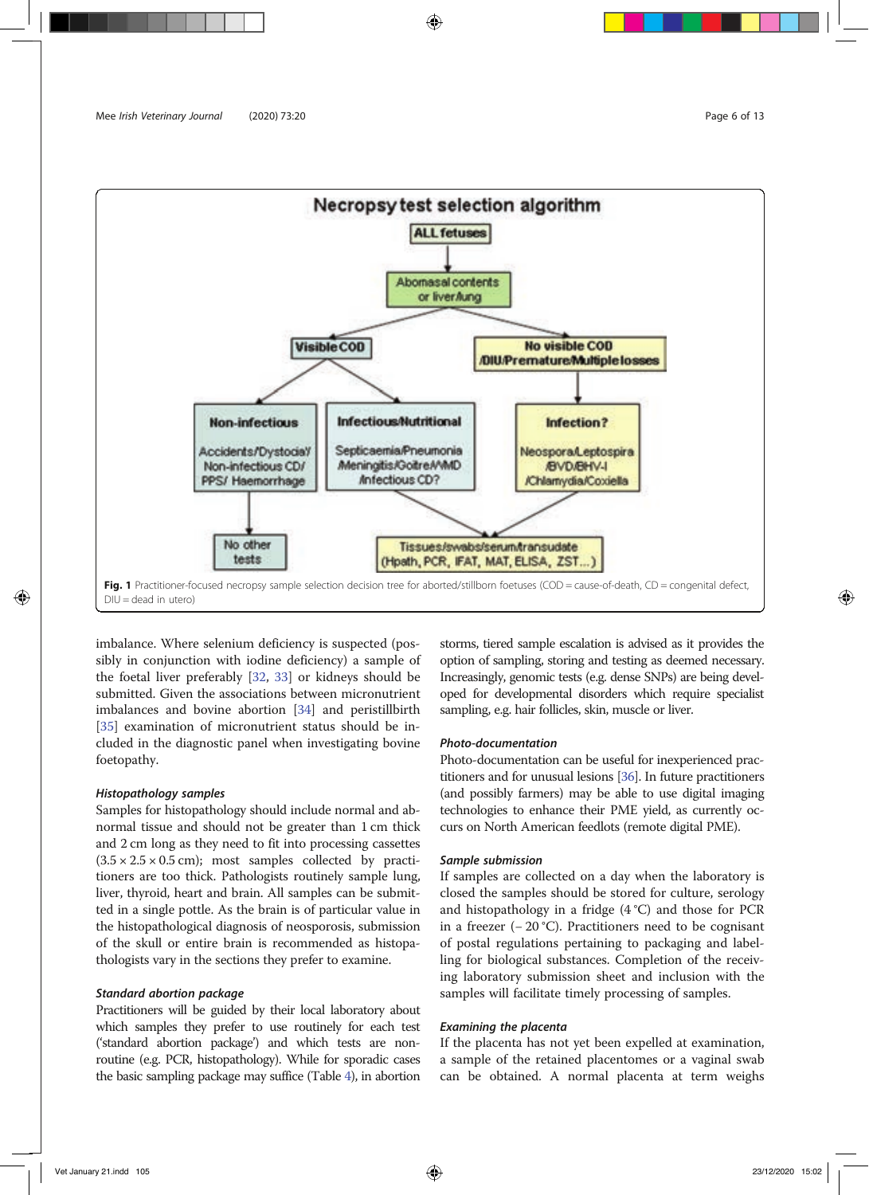

imbalance. Where selenium deficiency is suspected (possibly in conjunction with iodine deficiency) a sample of the foetal liver preferably [32, 33] or kidneys should be submitted. Given the associations between micronutrient imbalances and bovine abortion [34] and peristillbirth [35] examination of micronutrient status should be included in the diagnostic panel when investigating bovine foetopathy.

#### Histopathology samples

Samples for histopathology should include normal and abnormal tissue and should not be greater than 1 cm thick and 2 cm long as they need to fit into processing cassettes  $(3.5 \times 2.5 \times 0.5 \text{ cm})$ ; most samples collected by practitioners are too thick. Pathologists routinely sample lung, liver, thyroid, heart and brain. All samples can be submitted in a single pottle. As the brain is of particular value in the histopathological diagnosis of neosporosis, submission of the skull or entire brain is recommended as histopathologists vary in the sections they prefer to examine.

#### Standard abortion package

Practitioners will be guided by their local laboratory about which samples they prefer to use routinely for each test ('standard abortion package') and which tests are nonroutine (e.g. PCR, histopathology). While for sporadic cases the basic sampling package may suffice (Table 4), in abortion storms, tiered sample escalation is advised as it provides the option of sampling, storing and testing as deemed necessary. Increasingly, genomic tests (e.g. dense SNPs) are being developed for developmental disorders which require specialist sampling, e.g. hair follicles, skin, muscle or liver.

#### Photo-documentation

Photo-documentation can be useful for inexperienced practitioners and for unusual lesions [36]. In future practitioners (and possibly farmers) may be able to use digital imaging technologies to enhance their PME yield, as currently occurs on North American feedlots (remote digital PME).

#### Sample submission

If samples are collected on a day when the laboratory is closed the samples should be stored for culture, serology and histopathology in a fridge (4 °C) and those for PCR in a freezer (− 20 °C). Practitioners need to be cognisant of postal regulations pertaining to packaging and labelling for biological substances. Completion of the receiving laboratory submission sheet and inclusion with the samples will facilitate timely processing of samples.

#### Examining the placenta

If the placenta has not yet been expelled at examination, a sample of the retained placentomes or a vaginal swab can be obtained. A normal placenta at term weighs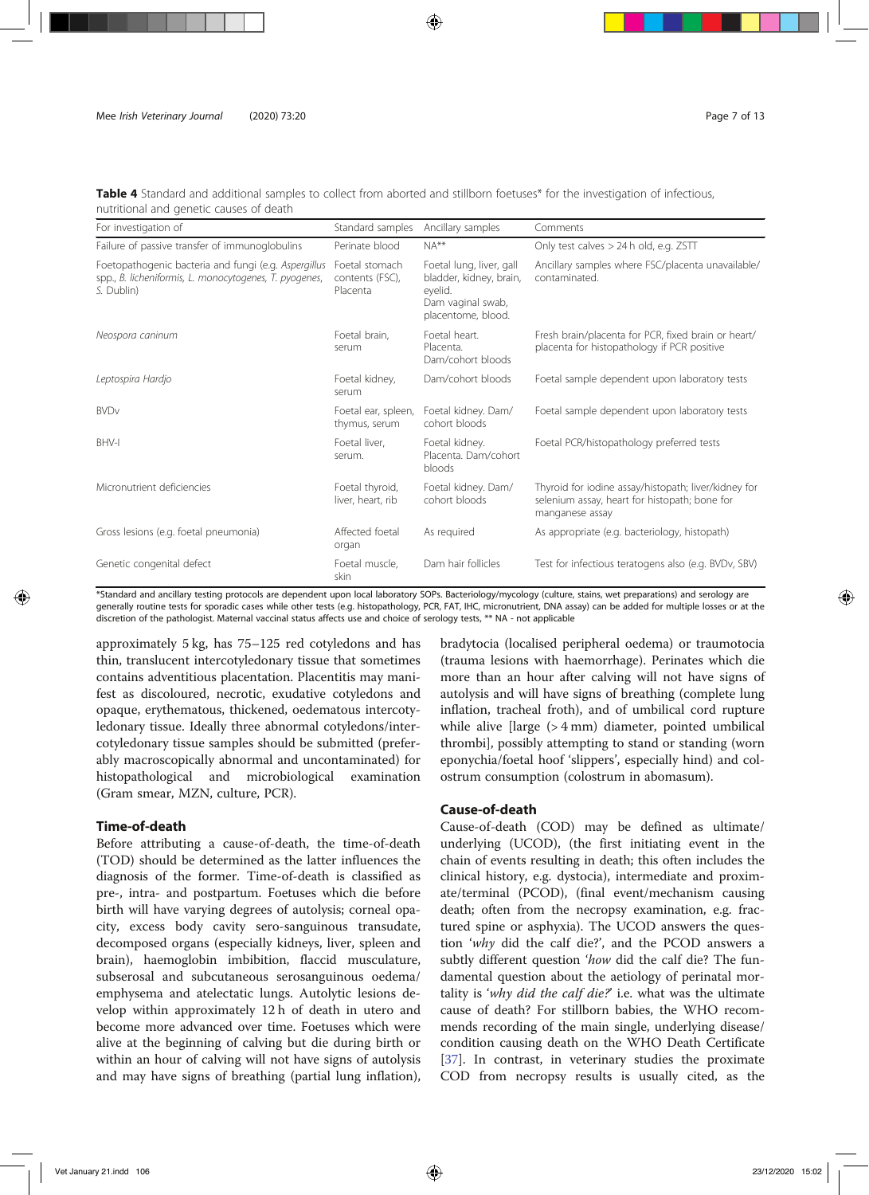Table 4 Standard and additional samples to collect from aborted and stillborn foetuses\* for the investigation of infectious, nutritional and genetic causes of death

| For investigation of                                                                                                         | Standard samples                              | Ancillary samples                                                                                         | Comments                                                                                                                 |
|------------------------------------------------------------------------------------------------------------------------------|-----------------------------------------------|-----------------------------------------------------------------------------------------------------------|--------------------------------------------------------------------------------------------------------------------------|
| Failure of passive transfer of immunoglobulins                                                                               | Perinate blood                                | $NA**$                                                                                                    | Only test calves > 24 h old, e.g. ZSTT                                                                                   |
| Foetopathogenic bacteria and fungi (e.g. Aspergillus<br>spp., B. licheniformis, L. monocytogenes, T. pyogenes,<br>S. Dublin) | Foetal stomach<br>contents (FSC),<br>Placenta | Foetal lung, liver, gall<br>bladder, kidney, brain,<br>eyelid.<br>Dam vaginal swab,<br>placentome, blood. | Ancillary samples where FSC/placenta unavailable/<br>contaminated.                                                       |
| Neospora caninum                                                                                                             | Foetal brain,<br>serum                        | Foetal heart.<br>Placenta.<br>Dam/cohort bloods                                                           | Fresh brain/placenta for PCR, fixed brain or heart/<br>placenta for histopathology if PCR positive                       |
| Leptospira Hardjo                                                                                                            | Foetal kidney,<br>serum                       | Dam/cohort bloods                                                                                         | Foetal sample dependent upon laboratory tests                                                                            |
| <b>BVD<sub>v</sub></b>                                                                                                       | Foetal ear, spleen,<br>thymus, serum          | Foetal kidney. Dam/<br>cohort bloods                                                                      | Foetal sample dependent upon laboratory tests                                                                            |
| <b>BHV-I</b>                                                                                                                 | Foetal liver.<br>serum.                       | Foetal kidney.<br>Placenta, Dam/cohort<br>bloods                                                          | Foetal PCR/histopathology preferred tests                                                                                |
| Micronutrient deficiencies                                                                                                   | Foetal thyroid,<br>liver, heart, rib          | Foetal kidney. Dam/<br>cohort bloods                                                                      | Thyroid for iodine assay/histopath; liver/kidney for<br>selenium assay, heart for histopath; bone for<br>manganese assay |
| Gross lesions (e.g. foetal pneumonia)                                                                                        | Affected foetal<br>organ                      | As required                                                                                               | As appropriate (e.g. bacteriology, histopath)                                                                            |
| Genetic congenital defect                                                                                                    | Foetal muscle.<br>skin                        | Dam hair follicles                                                                                        | Test for infectious teratogens also (e.g. BVDv, SBV)                                                                     |

\*Standard and ancillary testing protocols are dependent upon local laboratory SOPs. Bacteriology/mycology (culture, stains, wet preparations) and serology are generally routine tests for sporadic cases while other tests (e.g. histopathology, PCR, FAT, IHC, micronutrient, DNA assay) can be added for multiple losses or at the discretion of the pathologist. Maternal vaccinal status affects use and choice of serology tests, \*\* NA - not applicable

approximately 5 kg, has 75–125 red cotyledons and has thin, translucent intercotyledonary tissue that sometimes contains adventitious placentation. Placentitis may manifest as discoloured, necrotic, exudative cotyledons and opaque, erythematous, thickened, oedematous intercotyledonary tissue. Ideally three abnormal cotyledons/intercotyledonary tissue samples should be submitted (preferably macroscopically abnormal and uncontaminated) for histopathological and microbiological examination (Gram smear, MZN, culture, PCR).

#### Time-of-death

Before attributing a cause-of-death, the time-of-death (TOD) should be determined as the latter influences the diagnosis of the former. Time-of-death is classified as pre-, intra- and postpartum. Foetuses which die before birth will have varying degrees of autolysis; corneal opacity, excess body cavity sero-sanguinous transudate, decomposed organs (especially kidneys, liver, spleen and brain), haemoglobin imbibition, flaccid musculature, subserosal and subcutaneous serosanguinous oedema/ emphysema and atelectatic lungs. Autolytic lesions develop within approximately 12 h of death in utero and become more advanced over time. Foetuses which were alive at the beginning of calving but die during birth or within an hour of calving will not have signs of autolysis and may have signs of breathing (partial lung inflation),

bradytocia (localised peripheral oedema) or traumotocia (trauma lesions with haemorrhage). Perinates which die more than an hour after calving will not have signs of autolysis and will have signs of breathing (complete lung inflation, tracheal froth), and of umbilical cord rupture while alive [large (> 4 mm) diameter, pointed umbilical thrombi], possibly attempting to stand or standing (worn eponychia/foetal hoof 'slippers', especially hind) and colostrum consumption (colostrum in abomasum).

# Cause-of-death

Cause-of-death (COD) may be defined as ultimate/ underlying (UCOD), (the first initiating event in the chain of events resulting in death; this often includes the clinical history, e.g. dystocia), intermediate and proximate/terminal (PCOD), (final event/mechanism causing death; often from the necropsy examination, e.g. fractured spine or asphyxia). The UCOD answers the question 'why did the calf die?', and the PCOD answers a subtly different question 'how did the calf die? The fundamental question about the aetiology of perinatal mortality is 'why did the calf die?' i.e. what was the ultimate cause of death? For stillborn babies, the WHO recommends recording of the main single, underlying disease/ condition causing death on the WHO Death Certificate [37]. In contrast, in veterinary studies the proximate COD from necropsy results is usually cited, as the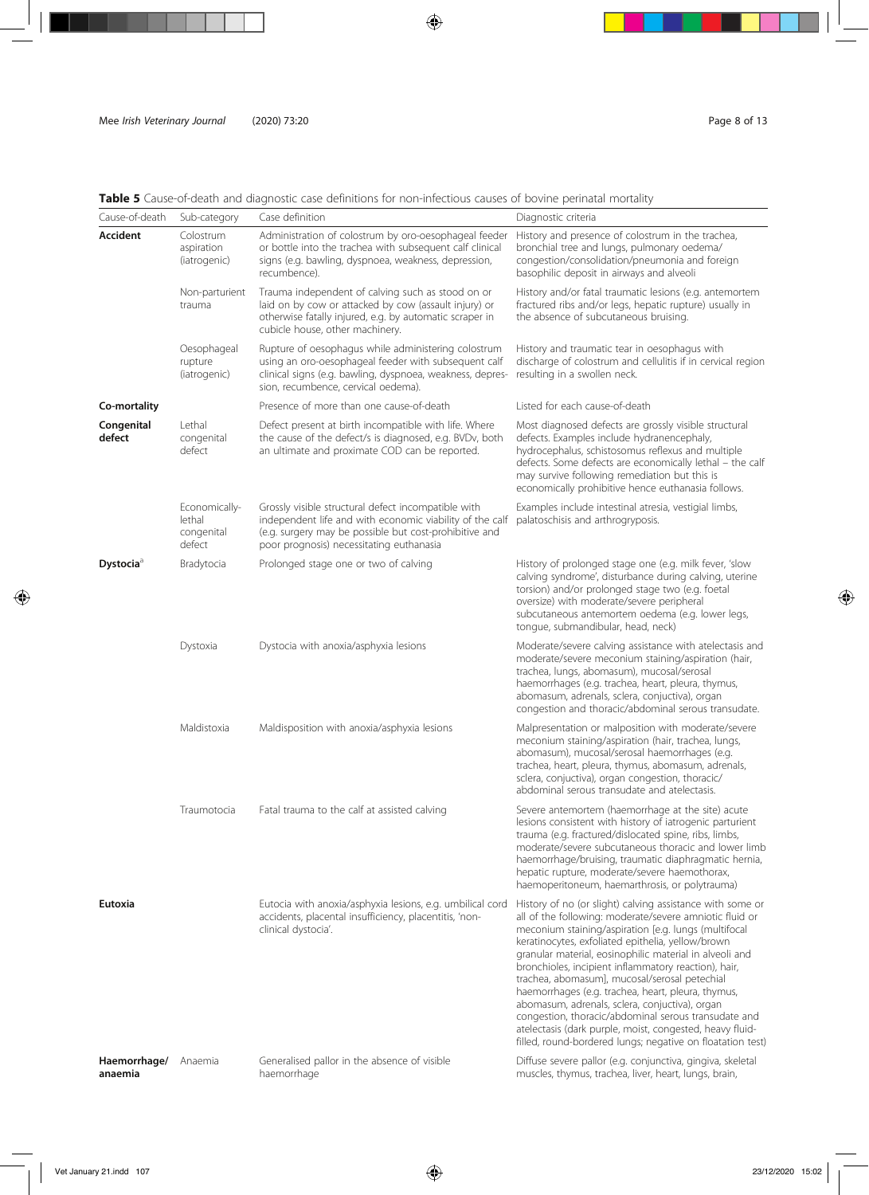| Cause-of-death          | Sub-category                                    | Case definition                                                                                                                                                                                                       | Diagnostic criteria                                                                                                                                                                                                                                                                                                                                                                                                                                                                                                                                                                                                                                                                             |
|-------------------------|-------------------------------------------------|-----------------------------------------------------------------------------------------------------------------------------------------------------------------------------------------------------------------------|-------------------------------------------------------------------------------------------------------------------------------------------------------------------------------------------------------------------------------------------------------------------------------------------------------------------------------------------------------------------------------------------------------------------------------------------------------------------------------------------------------------------------------------------------------------------------------------------------------------------------------------------------------------------------------------------------|
| <b>Accident</b>         | Colostrum<br>aspiration<br>(iatrogenic)         | Administration of colostrum by oro-oesophageal feeder<br>or bottle into the trachea with subsequent calf clinical<br>signs (e.g. bawling, dyspnoea, weakness, depression,<br>recumbence).                             | History and presence of colostrum in the trachea,<br>bronchial tree and lungs, pulmonary oedema/<br>congestion/consolidation/pneumonia and foreign<br>basophilic deposit in airways and alveoli                                                                                                                                                                                                                                                                                                                                                                                                                                                                                                 |
|                         | Non-parturient<br>trauma                        | Trauma independent of calving such as stood on or<br>laid on by cow or attacked by cow (assault injury) or<br>otherwise fatally injured, e.g. by automatic scraper in<br>cubicle house, other machinery.              | History and/or fatal traumatic lesions (e.g. antemortem<br>fractured ribs and/or legs, hepatic rupture) usually in<br>the absence of subcutaneous bruising.                                                                                                                                                                                                                                                                                                                                                                                                                                                                                                                                     |
|                         | Oesophageal<br>rupture<br>(iatrogenic)          | Rupture of oesophagus while administering colostrum<br>using an oro-oesophageal feeder with subsequent calf<br>clinical signs (e.g. bawling, dyspnoea, weakness, depres-<br>sion, recumbence, cervical oedema).       | History and traumatic tear in oesophagus with<br>discharge of colostrum and cellulitis if in cervical region<br>resulting in a swollen neck.                                                                                                                                                                                                                                                                                                                                                                                                                                                                                                                                                    |
| Co-mortality            |                                                 | Presence of more than one cause-of-death                                                                                                                                                                              | Listed for each cause-of-death                                                                                                                                                                                                                                                                                                                                                                                                                                                                                                                                                                                                                                                                  |
| Congenital<br>defect    | Lethal<br>congenital<br>defect                  | Defect present at birth incompatible with life. Where<br>the cause of the defect/s is diagnosed, e.g. BVDv, both<br>an ultimate and proximate COD can be reported.                                                    | Most diagnosed defects are grossly visible structural<br>defects. Examples include hydranencephaly,<br>hydrocephalus, schistosomus reflexus and multiple<br>defects. Some defects are economically lethal - the calf<br>may survive following remediation but this is<br>economically prohibitive hence euthanasia follows.                                                                                                                                                                                                                                                                                                                                                                     |
|                         | Economically-<br>lethal<br>congenital<br>defect | Grossly visible structural defect incompatible with<br>independent life and with economic viability of the calf<br>(e.g. surgery may be possible but cost-prohibitive and<br>poor prognosis) necessitating euthanasia | Examples include intestinal atresia, vestigial limbs,<br>palatoschisis and arthrogryposis.                                                                                                                                                                                                                                                                                                                                                                                                                                                                                                                                                                                                      |
| Dystocia <sup>a</sup>   | Bradytocia                                      | Prolonged stage one or two of calving                                                                                                                                                                                 | History of prolonged stage one (e.g. milk fever, 'slow<br>calving syndrome', disturbance during calving, uterine<br>torsion) and/or prolonged stage two (e.g. foetal<br>oversize) with moderate/severe peripheral<br>subcutaneous antemortem oedema (e.g. lower legs,<br>tongue, submandibular, head, neck)                                                                                                                                                                                                                                                                                                                                                                                     |
|                         | Dystoxia                                        | Dystocia with anoxia/asphyxia lesions                                                                                                                                                                                 | Moderate/severe calving assistance with atelectasis and<br>moderate/severe meconium staining/aspiration (hair,<br>trachea, lungs, abomasum), mucosal/serosal<br>haemorrhages (e.g. trachea, heart, pleura, thymus,<br>abomasum, adrenals, sclera, conjuctiva), organ<br>congestion and thoracic/abdominal serous transudate.                                                                                                                                                                                                                                                                                                                                                                    |
|                         | Maldistoxia                                     | Maldisposition with anoxia/asphyxia lesions                                                                                                                                                                           | Malpresentation or malposition with moderate/severe<br>meconium staining/aspiration (hair, trachea, lungs,<br>abomasum), mucosal/serosal haemorrhages (e.g.<br>trachea, heart, pleura, thymus, abomasum, adrenals,<br>sclera, conjuctiva), organ congestion, thoracic/<br>abdominal serous transudate and atelectasis.                                                                                                                                                                                                                                                                                                                                                                          |
|                         | Traumotocia                                     | Fatal trauma to the calf at assisted calving                                                                                                                                                                          | Severe antemortem (haemorrhage at the site) acute<br>lesions consistent with history of iatrogenic parturient<br>trauma (e.g. fractured/dislocated spine, ribs, limbs,<br>moderate/severe subcutaneous thoracic and lower limb<br>haemorrhage/bruising, traumatic diaphragmatic hernia,<br>hepatic rupture, moderate/severe haemothorax,<br>haemoperitoneum, haemarthrosis, or polytrauma)                                                                                                                                                                                                                                                                                                      |
| Eutoxia                 |                                                 | Eutocia with anoxia/asphyxia lesions, e.g. umbilical cord<br>accidents, placental insufficiency, placentitis, 'non-<br>clinical dystocia'.                                                                            | History of no (or slight) calving assistance with some or<br>all of the following: moderate/severe amniotic fluid or<br>meconium staining/aspiration [e.g. lungs (multifocal<br>keratinocytes, exfoliated epithelia, yellow/brown<br>granular material, eosinophilic material in alveoli and<br>bronchioles, incipient inflammatory reaction), hair,<br>trachea, abomasum], mucosal/serosal petechial<br>haemorrhages (e.g. trachea, heart, pleura, thymus,<br>abomasum, adrenals, sclera, conjuctiva), organ<br>congestion, thoracic/abdominal serous transudate and<br>atelectasis (dark purple, moist, congested, heavy fluid-<br>filled, round-bordered lungs; negative on floatation test) |
| Haemorrhage/<br>anaemia | Anaemia                                         | Generalised pallor in the absence of visible<br>haemorrhage                                                                                                                                                           | Diffuse severe pallor (e.g. conjunctiva, gingiva, skeletal<br>muscles, thymus, trachea, liver, heart, lungs, brain,                                                                                                                                                                                                                                                                                                                                                                                                                                                                                                                                                                             |

Table 5 Cause-of-death and diagnostic case definitions for non-infectious causes of bovine perinatal mortality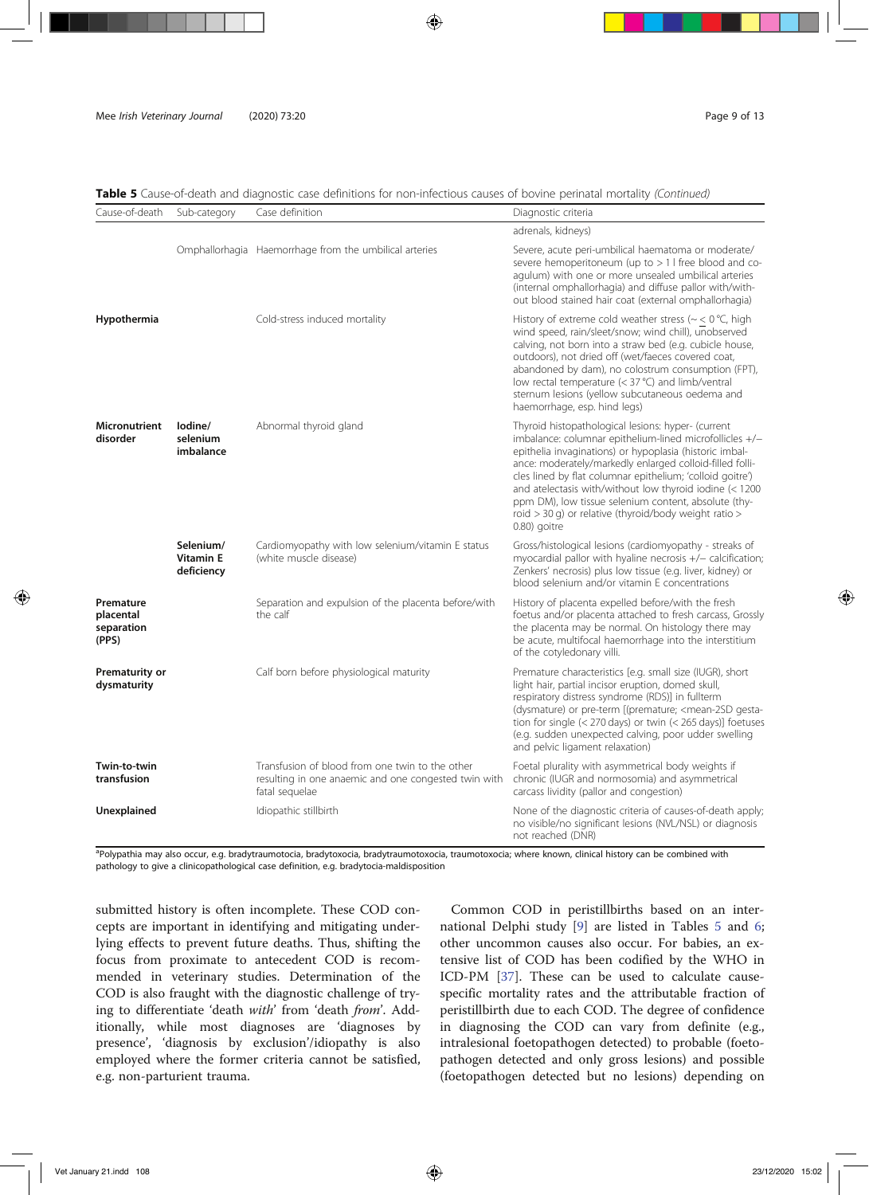| Cause-of-death                                | Sub-category                                | Case definition                                                                                                           | Diagnostic criteria                                                                                                                                                                                                                                                                                                                                                                                                                                                                           |
|-----------------------------------------------|---------------------------------------------|---------------------------------------------------------------------------------------------------------------------------|-----------------------------------------------------------------------------------------------------------------------------------------------------------------------------------------------------------------------------------------------------------------------------------------------------------------------------------------------------------------------------------------------------------------------------------------------------------------------------------------------|
|                                               |                                             |                                                                                                                           | adrenals, kidneys)                                                                                                                                                                                                                                                                                                                                                                                                                                                                            |
|                                               |                                             | Omphallorhagia Haemorrhage from the umbilical arteries                                                                    | Severe, acute peri-umbilical haematoma or moderate/<br>severe hemoperitoneum (up to > 11 free blood and co-<br>agulum) with one or more unsealed umbilical arteries<br>(internal omphallorhagia) and diffuse pallor with/with-<br>out blood stained hair coat (external omphallorhagia)                                                                                                                                                                                                       |
| Hypothermia                                   |                                             | Cold-stress induced mortality                                                                                             | History of extreme cold weather stress ( $\sim$ < 0 °C, high<br>wind speed, rain/sleet/snow; wind chill), unobserved<br>calving, not born into a straw bed (e.g. cubicle house,<br>outdoors), not dried off (wet/faeces covered coat,<br>abandoned by dam), no colostrum consumption (FPT),<br>low rectal temperature $(< 37 °C)$ and limb/ventral<br>sternum lesions (yellow subcutaneous oedema and<br>haemorrhage, esp. hind legs)                                                         |
| <b>Micronutrient</b><br>disorder              | lodine/<br>selenium<br>imbalance            | Abnormal thyroid gland                                                                                                    | Thyroid histopathological lesions: hyper- (current<br>imbalance: columnar epithelium-lined microfollicles +/-<br>epithelia invaginations) or hypoplasia (historic imbal-<br>ance: moderately/markedly enlarged colloid-filled folli-<br>cles lined by flat columnar epithelium; 'colloid goitre')<br>and atelectasis with/without low thyroid iodine (< 1200<br>ppm DM), low tissue selenium content, absolute (thy-<br>roid > 30 g) or relative (thyroid/body weight ratio ><br>0.80) goitre |
|                                               | Selenium/<br><b>Vitamin E</b><br>deficiency | Cardiomyopathy with low selenium/vitamin E status<br>(white muscle disease)                                               | Gross/histological lesions (cardiomyopathy - streaks of<br>myocardial pallor with hyaline necrosis +/- calcification;<br>Zenkers' necrosis) plus low tissue (e.g. liver, kidney) or<br>blood selenium and/or vitamin E concentrations                                                                                                                                                                                                                                                         |
| Premature<br>placental<br>separation<br>(PPS) |                                             | Separation and expulsion of the placenta before/with<br>the calf                                                          | History of placenta expelled before/with the fresh<br>foetus and/or placenta attached to fresh carcass, Grossly<br>the placenta may be normal. On histology there may<br>be acute, multifocal haemorrhage into the interstitium<br>of the cotyledonary villi.                                                                                                                                                                                                                                 |
| Prematurity or<br>dysmaturity                 |                                             | Calf born before physiological maturity                                                                                   | Premature characteristics [e.g. small size (IUGR), short<br>light hair, partial incisor eruption, domed skull,<br>respiratory distress syndrome (RDS)] in fullterm<br>(dysmature) or pre-term [(premature; <mean-2sd gesta-<br="">tion for single (&lt; 270 days) or twin (&lt; 265 days)] foetuses<br/>(e.g. sudden unexpected calving, poor udder swelling<br/>and pelvic ligament relaxation)</mean-2sd>                                                                                   |
| Twin-to-twin<br>transfusion                   |                                             | Transfusion of blood from one twin to the other<br>resulting in one anaemic and one congested twin with<br>fatal sequelae | Foetal plurality with asymmetrical body weights if<br>chronic (IUGR and normosomia) and asymmetrical<br>carcass lividity (pallor and congestion)                                                                                                                                                                                                                                                                                                                                              |
| Unexplained                                   |                                             | Idiopathic stillbirth                                                                                                     | None of the diagnostic criteria of causes-of-death apply;<br>no visible/no significant lesions (NVL/NSL) or diagnosis<br>not reached (DNR)                                                                                                                                                                                                                                                                                                                                                    |

Table 5 Cause-of-death and diagnostic case definitions for non-infectious causes of bovine perinatal mortality (Continued)

<sup>a</sup>Polypathia may also occur, e.g. bradytraumotocia, bradytoxocia, bradytraumotoxocia, traumotoxocia; where known, clinical history can be combined with pathology to give a clinicopathological case definition, e.g. bradytocia-maldisposition

submitted history is often incomplete. These COD concepts are important in identifying and mitigating underlying effects to prevent future deaths. Thus, shifting the focus from proximate to antecedent COD is recommended in veterinary studies. Determination of the COD is also fraught with the diagnostic challenge of trying to differentiate 'death with' from 'death from'. Additionally, while most diagnoses are 'diagnoses by presence', 'diagnosis by exclusion'/idiopathy is also employed where the former criteria cannot be satisfied, e.g. non-parturient trauma.

Common COD in peristillbirths based on an international Delphi study [9] are listed in Tables 5 and 6; other uncommon causes also occur. For babies, an extensive list of COD has been codified by the WHO in ICD-PM [37]. These can be used to calculate causespecific mortality rates and the attributable fraction of peristillbirth due to each COD. The degree of confidence in diagnosing the COD can vary from definite (e.g., intralesional foetopathogen detected) to probable (foetopathogen detected and only gross lesions) and possible (foetopathogen detected but no lesions) depending on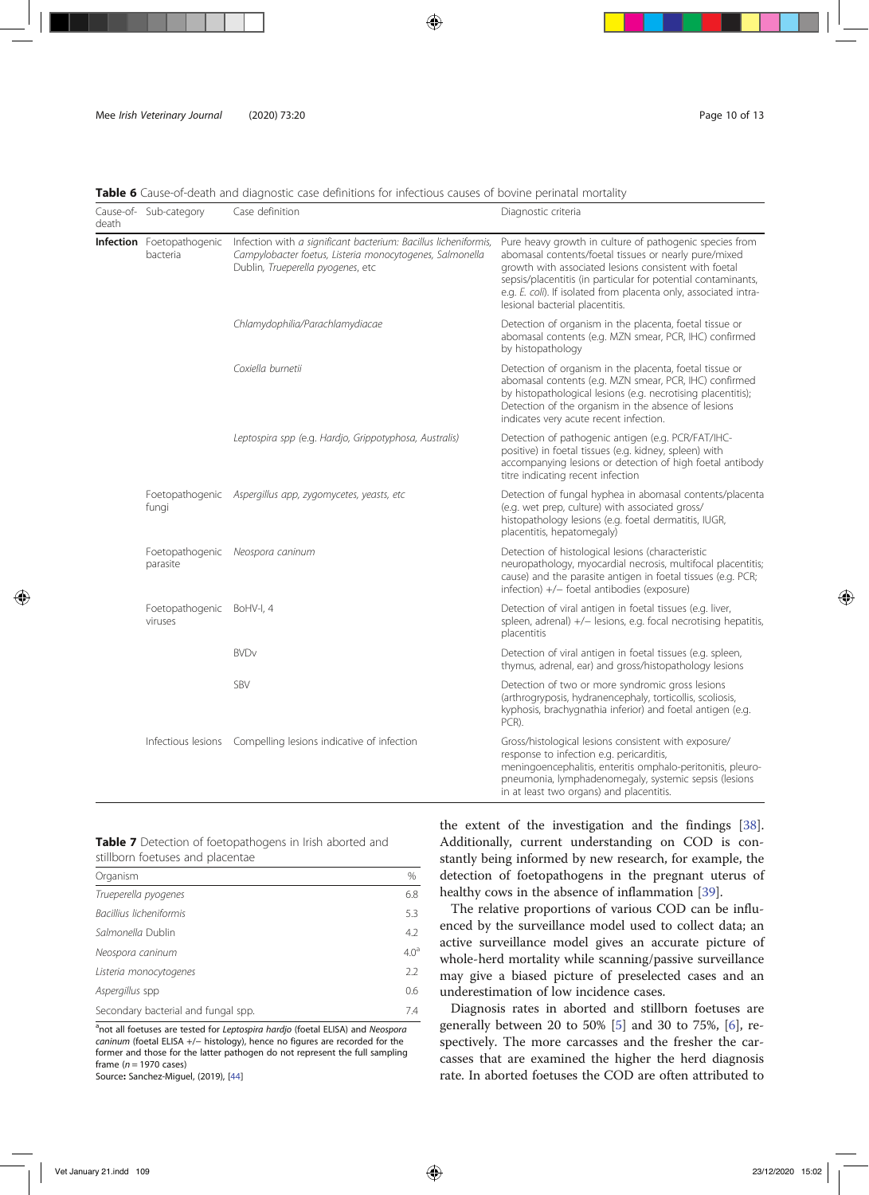| death | Cause-of- Sub-category                       | Case definition                                                                                                                                                  | Diagnostic criteria                                                                                                                                                                                                                                                                                                                               |
|-------|----------------------------------------------|------------------------------------------------------------------------------------------------------------------------------------------------------------------|---------------------------------------------------------------------------------------------------------------------------------------------------------------------------------------------------------------------------------------------------------------------------------------------------------------------------------------------------|
|       | <b>Infection</b> Foetopathogenic<br>bacteria | Infection with a significant bacterium: Bacillus licheniformis,<br>Campylobacter foetus, Listeria monocytogenes, Salmonella<br>Dublin, Trueperella pyogenes, etc | Pure heavy growth in culture of pathogenic species from<br>abomasal contents/foetal tissues or nearly pure/mixed<br>growth with associated lesions consistent with foetal<br>sepsis/placentitis (in particular for potential contaminants,<br>e.g. E. coli). If isolated from placenta only, associated intra-<br>lesional bacterial placentitis. |
|       |                                              | Chlamydophilia/Parachlamydiacae                                                                                                                                  | Detection of organism in the placenta, foetal tissue or<br>abomasal contents (e.g. MZN smear, PCR, IHC) confirmed<br>by histopathology                                                                                                                                                                                                            |
|       |                                              | Coxiella burnetii                                                                                                                                                | Detection of organism in the placenta, foetal tissue or<br>abomasal contents (e.g. MZN smear, PCR, IHC) confirmed<br>by histopathological lesions (e.g. necrotising placentitis);<br>Detection of the organism in the absence of lesions<br>indicates very acute recent infection.                                                                |
|       |                                              | Leptospira spp (e.g. Hardjo, Grippotyphosa, Australis)                                                                                                           | Detection of pathogenic antigen (e.g. PCR/FAT/IHC-<br>positive) in foetal tissues (e.g. kidney, spleen) with<br>accompanying lesions or detection of high foetal antibody<br>titre indicating recent infection                                                                                                                                    |
|       | fungi                                        | Foetopathogenic Aspergillus app, zygomycetes, yeasts, etc                                                                                                        | Detection of fungal hyphea in abomasal contents/placenta<br>(e.g. wet prep, culture) with associated gross/<br>histopathology lesions (e.g. foetal dermatitis, IUGR,<br>placentitis, hepatomegaly)                                                                                                                                                |
|       | parasite                                     | Foetopathogenic Neospora caninum                                                                                                                                 | Detection of histological lesions (characteristic<br>neuropathology, myocardial necrosis, multifocal placentitis;<br>cause) and the parasite antigen in foetal tissues (e.g. PCR;<br>infection) +/- foetal antibodies (exposure)                                                                                                                  |
|       | Foetopathogenic BoHV-I, 4<br>viruses         |                                                                                                                                                                  | Detection of viral antigen in foetal tissues (e.g. liver,<br>spleen, adrenal) +/- lesions, e.g. focal necrotising hepatitis,<br>placentitis                                                                                                                                                                                                       |
|       |                                              | <b>BVD<sub>v</sub></b>                                                                                                                                           | Detection of viral antigen in foetal tissues (e.g. spleen,<br>thymus, adrenal, ear) and gross/histopathology lesions                                                                                                                                                                                                                              |
|       |                                              | <b>SBV</b>                                                                                                                                                       | Detection of two or more syndromic gross lesions<br>(arthrogryposis, hydranencephaly, torticollis, scoliosis,<br>kyphosis, brachygnathia inferior) and foetal antigen (e.g.<br>PCR).                                                                                                                                                              |
|       |                                              | Infectious lesions  Compelling lesions indicative of infection                                                                                                   | Gross/histological lesions consistent with exposure/<br>response to infection e.g. pericarditis,<br>meningoencephalitis, enteritis omphalo-peritonitis, pleuro-<br>pneumonia, lymphadenomegaly, systemic sepsis (lesions<br>in at least two organs) and placentitis.                                                                              |

Table 6 Cause-of-death and diagnostic case definitions for infectious causes of bovine perinatal mortality

#### Table 7 Detection of foetopathogens in Irish aborted and stillborn foetuses and placentae

| Organism                            | $\%$      |
|-------------------------------------|-----------|
| Trueperella pyogenes                | 6.8       |
| Bacillius licheniformis             | 5.3       |
| Salmonella Dublin                   | 4.2       |
| Neospora caninum                    | $4.0^{a}$ |
| Listeria monocytogenes              | 2.2       |
| Aspergillus spp                     | 0.6       |
| Secondary bacterial and fungal spp. | 7.4       |

<sup>a</sup>not all foetuses are tested for Leptospira hardjo (foetal ELISA) and Neospora caninum (foetal ELISA +/− histology), hence no figures are recorded for the former and those for the latter pathogen do not represent the full sampling frame ( $n = 1970$  cases)

Source: Sanchez-Miguel, (2019), [44]

the extent of the investigation and the findings [38]. Additionally, current understanding on COD is constantly being informed by new research, for example, the detection of foetopathogens in the pregnant uterus of healthy cows in the absence of inflammation [39].

The relative proportions of various COD can be influenced by the surveillance model used to collect data; an active surveillance model gives an accurate picture of whole-herd mortality while scanning/passive surveillance may give a biased picture of preselected cases and an underestimation of low incidence cases.

Diagnosis rates in aborted and stillborn foetuses are generally between 20 to 50% [5] and 30 to 75%, [6], respectively. The more carcasses and the fresher the carcasses that are examined the higher the herd diagnosis rate. In aborted foetuses the COD are often attributed to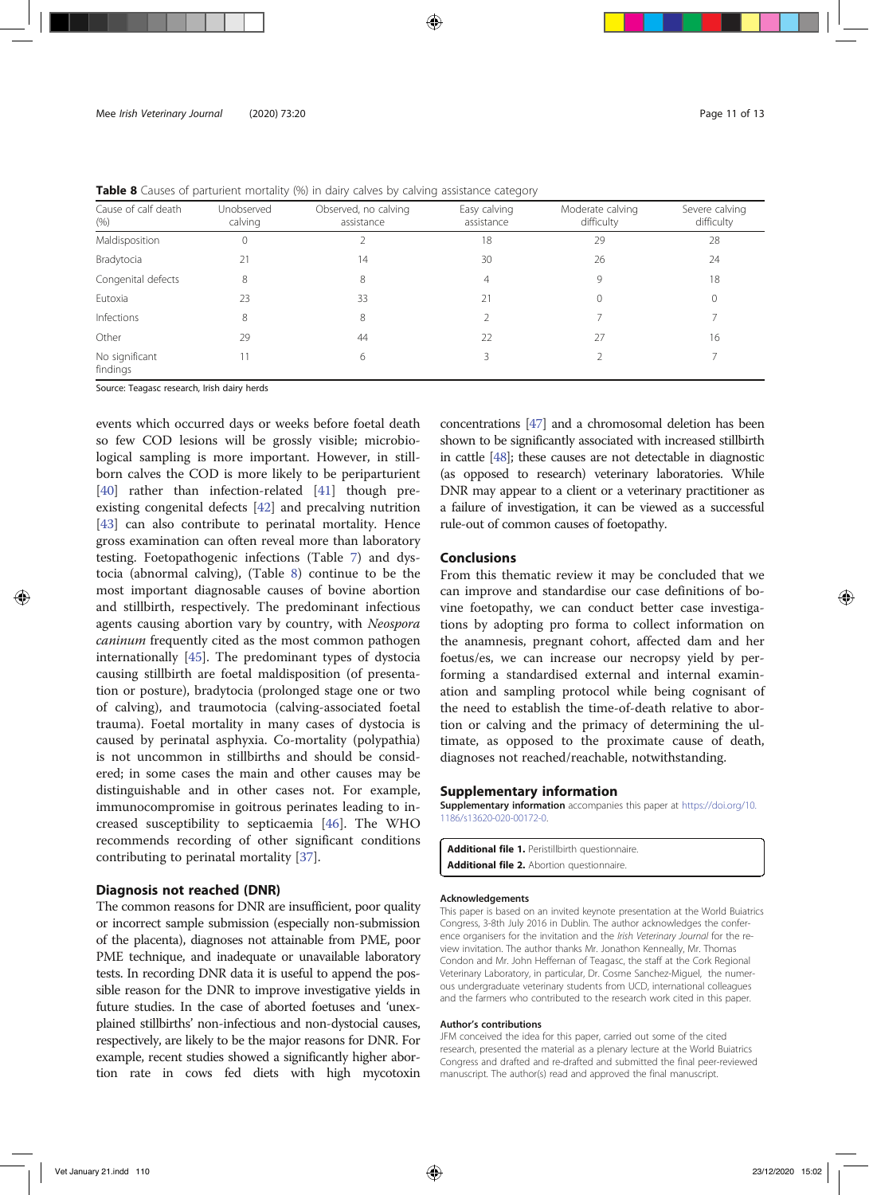| Cause of calf death<br>(% ) | Unobserved<br>calving | Observed, no calving<br>assistance | Easy calving<br>assistance | Moderate calving<br>difficulty | Severe calving<br>difficulty |
|-----------------------------|-----------------------|------------------------------------|----------------------------|--------------------------------|------------------------------|
| Maldisposition              | $\Omega$              |                                    | 18                         | 29                             | 28                           |
| Bradytocia                  | 21                    | 14                                 | 30                         | 26                             | 24                           |
| Congenital defects          | 8                     | 8                                  |                            | 9                              | 18                           |
| Eutoxia                     | 23                    | 33                                 | 21                         | O                              |                              |
| Infections                  | 8                     | 8                                  |                            |                                |                              |
| Other                       | 29                    | 44                                 | 22                         | 27                             | 16                           |
| No significant<br>findings  |                       | 6                                  |                            |                                |                              |

**Table 8** Causes of parturient mortality (%) in dairy calves by calving assistance category

Source: Teagasc research, Irish dairy herds

events which occurred days or weeks before foetal death so few COD lesions will be grossly visible; microbiological sampling is more important. However, in stillborn calves the COD is more likely to be periparturient [40] rather than infection-related [41] though preexisting congenital defects [42] and precalving nutrition [43] can also contribute to perinatal mortality. Hence gross examination can often reveal more than laboratory testing. Foetopathogenic infections (Table 7) and dystocia (abnormal calving), (Table 8) continue to be the most important diagnosable causes of bovine abortion and stillbirth, respectively. The predominant infectious agents causing abortion vary by country, with Neospora caninum frequently cited as the most common pathogen internationally [45]. The predominant types of dystocia causing stillbirth are foetal maldisposition (of presentation or posture), bradytocia (prolonged stage one or two of calving), and traumotocia (calving-associated foetal trauma). Foetal mortality in many cases of dystocia is caused by perinatal asphyxia. Co-mortality (polypathia) is not uncommon in stillbirths and should be considered; in some cases the main and other causes may be distinguishable and in other cases not. For example, immunocompromise in goitrous perinates leading to increased susceptibility to septicaemia [46]. The WHO recommends recording of other significant conditions contributing to perinatal mortality [37].

#### Diagnosis not reached (DNR)

The common reasons for DNR are insufficient, poor quality or incorrect sample submission (especially non-submission of the placenta), diagnoses not attainable from PME, poor PME technique, and inadequate or unavailable laboratory tests. In recording DNR data it is useful to append the possible reason for the DNR to improve investigative yields in future studies. In the case of aborted foetuses and 'unexplained stillbirths' non-infectious and non-dystocial causes, respectively, are likely to be the major reasons for DNR. For example, recent studies showed a significantly higher abortion rate in cows fed diets with high mycotoxin

concentrations [47] and a chromosomal deletion has been shown to be significantly associated with increased stillbirth in cattle [48]; these causes are not detectable in diagnostic (as opposed to research) veterinary laboratories. While DNR may appear to a client or a veterinary practitioner as a failure of investigation, it can be viewed as a successful rule-out of common causes of foetopathy.

#### Conclusions

From this thematic review it may be concluded that we can improve and standardise our case definitions of bovine foetopathy, we can conduct better case investigations by adopting pro forma to collect information on the anamnesis, pregnant cohort, affected dam and her foetus/es, we can increase our necropsy yield by performing a standardised external and internal examination and sampling protocol while being cognisant of the need to establish the time-of-death relative to abortion or calving and the primacy of determining the ultimate, as opposed to the proximate cause of death, diagnoses not reached/reachable, notwithstanding.

#### Supplementary information

Supplementary information accompanies this paper at https://doi.org/10. 1186/s13620-020-00172-0.

Additional file 1. Peristillbirth questionnaire Additional file 2. Abortion questionnaire.

#### Acknowledgements

This paper is based on an invited keynote presentation at the World Buiatrics Congress, 3-8th July 2016 in Dublin. The author acknowledges the conference organisers for the invitation and the Irish Veterinary Journal for the review invitation. The author thanks Mr. Jonathon Kenneally, Mr. Thomas Condon and Mr. John Heffernan of Teagasc, the staff at the Cork Regional Veterinary Laboratory, in particular, Dr. Cosme Sanchez-Miguel, the numerous undergraduate veterinary students from UCD, international colleagues and the farmers who contributed to the research work cited in this paper.

#### Author's contributions

JFM conceived the idea for this paper, carried out some of the cited research, presented the material as a plenary lecture at the World Buiatrics Congress and drafted and re-drafted and submitted the final peer-reviewed manuscript. The author(s) read and approved the final manuscript.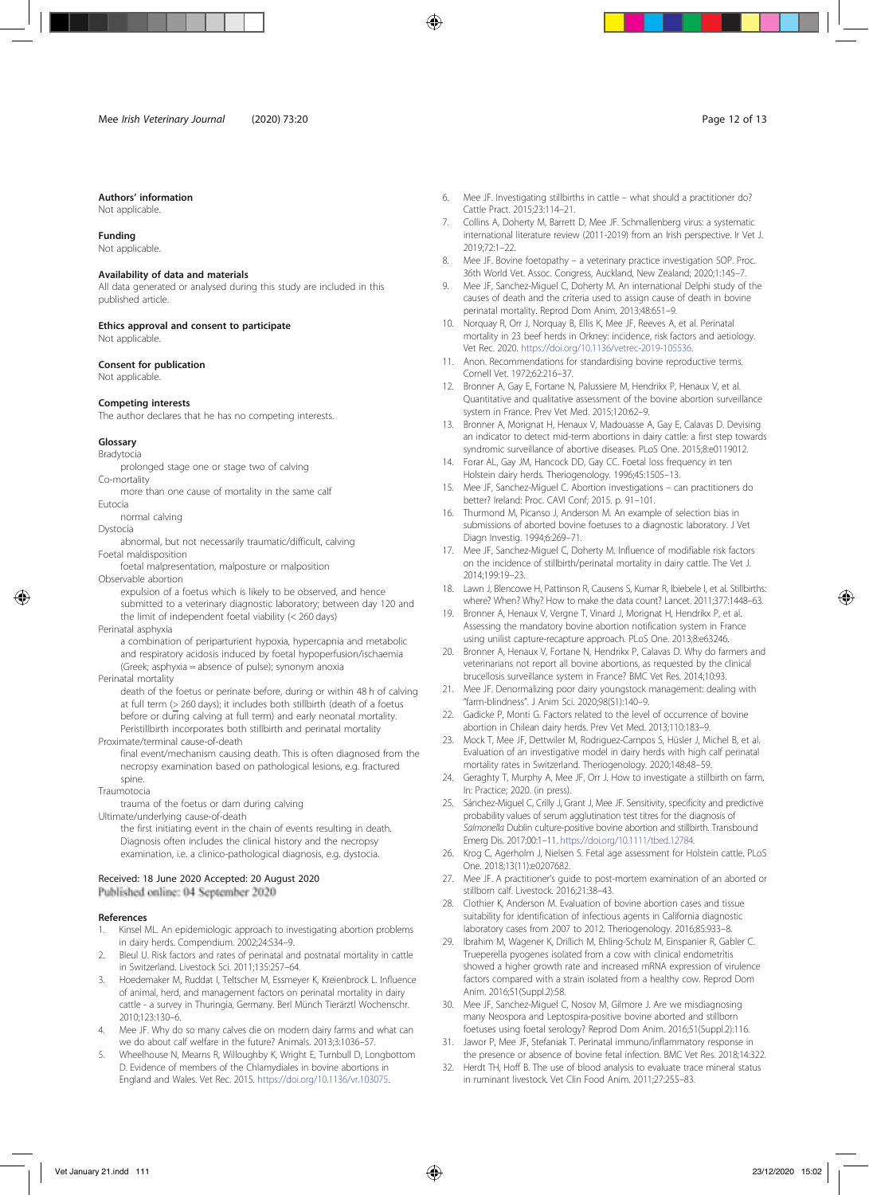#### Authors' information

Not applicable.

#### Funding

Not applicable.

#### Availability of data and materials

All data generated or analysed during this study are included in this published article.

Ethics approval and consent to participate Not applicable.

#### Consent for publication

Not applicable.

#### Competing interests

The author declares that he has no competing interests.

#### Glossary

Bradytocia prolonged stage one or stage two of calving

- Co-mortality
- more than one cause of mortality in the same calf

Eutocia normal calving

Dystocia

abnormal, but not necessarily traumatic/difficult, calving Foetal maldisposition

foetal malpresentation, malposture or malposition

Observable abortion

expulsion of a foetus which is likely to be observed, and hence submitted to a veterinary diagnostic laboratory; between day 120 and the limit of independent foetal viability (< 260 days)

Perinatal asphyxia

a combination of periparturient hypoxia, hypercapnia and metabolic and respiratory acidosis induced by foetal hypoperfusion/ischaemia (Greek; asphyxia = absence of pulse); synonym anoxia

Perinatal mortality

death of the foetus or perinate before, during or within 48 h of calving at full term (> 260 days); it includes both stillbirth (death of a foetus before or during calving at full term) and early neonatal mortality. Peristillbirth incorporates both stillbirth and perinatal mortality

Proximate/terminal cause-of-death

final event/mechanism causing death. This is often diagnosed from the necropsy examination based on pathological lesions, e.g. fractured spine.

#### Traumotocia

trauma of the foetus or dam during calving

Ultimate/underlying cause-of-death the first initiating event in the chain of events resulting in death. Diagnosis often includes the clinical history and the necropsy examination, i.e. a clinico-pathological diagnosis, e.g. dystocia.

#### Received: 18 June 2020 Accepted: 20 August 2020 Published online: 04 September 2020

#### References

- Kinsel ML. An epidemiologic approach to investigating abortion problems in dairy herds. Compendium. 2002;24:S34–9.
- 2. Bleul U. Risk factors and rates of perinatal and postnatal mortality in cattle in Switzerland. Livestock Sci. 2011;135:257–64.
- 3. Hoedemaker M, Ruddat I, Teltscher M, Essmeyer K, Kreienbrock L. Influence of animal, herd, and management factors on perinatal mortality in dairy cattle - a survey in Thuringia, Germany. Berl Münch Tierärztl Wochenschr. 2010;123:130–6.
- 4. Mee JF. Why do so many calves die on modern dairy farms and what can we do about calf welfare in the future? Animals. 2013;3:1036–57.
- 5. Wheelhouse N, Mearns R, Willoughby K, Wright E, Turnbull D, Longbottom D. Evidence of members of the Chlamydiales in bovine abortions in England and Wales. Vet Rec. 2015. https://doi.org/10.1136/vr.103075.
- 6. Mee JF. Investigating stillbirths in cattle what should a practitioner do? Cattle Pract. 2015;23:114–21.
- 7. Collins A, Doherty M, Barrett D, Mee JF. Schmallenberg virus: a systematic international literature review (2011-2019) from an Irish perspective. Ir Vet J. 2019;72:1–22.
- Mee JF. Bovine foetopathy a veterinary practice investigation SOP. Proc. 36th World Vet. Assoc. Congress, Auckland, New Zealand; 2020;1:145–7.
- 9. Mee JF, Sanchez-Miguel C, Doherty M. An international Delphi study of the causes of death and the criteria used to assign cause of death in bovine perinatal mortality. Reprod Dom Anim. 2013;48:651–9.
- 10. Norquay R, Orr J, Norquay B, Ellis K, Mee JF, Reeves A, et al. Perinatal mortality in 23 beef herds in Orkney: incidence, risk factors and aetiology. Vet Rec. 2020. https://doi.org/10.1136/vetrec-2019-105536.
- 11. Anon. Recommendations for standardising bovine reproductive terms. Cornell Vet. 1972;62:216–37.
- 12. Bronner A, Gay E, Fortane N, Palussiere M, Hendrikx P, Henaux V, et al. Quantitative and qualitative assessment of the bovine abortion surveillance system in France. Prev Vet Med. 2015;120:62–9.
- 13. Bronner A, Morignat H, Henaux V, Madouasse A, Gay E, Calavas D. Devising an indicator to detect mid-term abortions in dairy cattle: a first step towards syndromic surveillance of abortive diseases. PLoS One. 2015;8:e0119012.
- 14. Forar AL, Gay JM, Hancock DD, Gay CC. Foetal loss frequency in ten Holstein dairy herds. Theriogenology. 1996;45:1505–13.
- 15. Mee JF, Sanchez-Miguel C. Abortion investigations can practitioners do better? Ireland: Proc. CAVI Conf; 2015. p. 91–101.
- 16. Thurmond M, Picanso J, Anderson M. An example of selection bias in submissions of aborted bovine foetuses to a diagnostic laboratory. J Vet Diagn Investig. 1994;6:269–71.
- 17. Mee JF, Sanchez-Miguel C, Doherty M. Influence of modifiable risk factors on the incidence of stillbirth/perinatal mortality in dairy cattle. The Vet J. 2014;199:19–23.
- 18. Lawn J, Blencowe H, Pattinson R, Causens S, Kumar R, Ibiebele I, et al. Stillbirths: where? When? Why? How to make the data count? Lancet. 2011;377:1448–63.
- 19. Bronner A, Henaux V, Vergne T, Vinard J, Morignat H, Hendrikx P, et al. Assessing the mandatory bovine abortion notification system in France using unilist capture-recapture approach. PLoS One. 2013;8:e63246.
- 20. Bronner A, Henaux V, Fortane N, Hendrikx P, Calavas D. Why do farmers and veterinarians not report all bovine abortions, as requested by the clinical brucellosis surveillance system in France? BMC Vet Res. 2014;10:93.
- 21. Mee JF. Denormalizing poor dairy youngstock management: dealing with "farm-blindness". J Anim Sci. 2020;98(S1):140–9.
- 22. Gadicke P, Monti G. Factors related to the level of occurrence of bovine abortion in Chilean dairy herds. Prev Vet Med. 2013;110:183–9.
- 23. Mock T, Mee JF, Dettwiler M, Rodriguez-Campos S, Hüsler J, Michel B, et al. Evaluation of an investigative model in dairy herds with high calf perinatal mortality rates in Switzerland. Theriogenology. 2020;148:48–59.
- 24. Geraghty T, Murphy A, Mee JF, Orr J. How to investigate a stillbirth on farm. In: Practice; 2020. (in press).
- 25. Sánchez-Miguel C, Crilly J, Grant J, Mee JF. Sensitivity, specificity and predictive probability values of serum agglutination test titres for the diagnosis of Salmonella Dublin culture-positive bovine abortion and stillbirth. Transbound Emerg Dis. 2017:00:1–11. https://doi.org/10.1111/tbed.12784.
- 26. Krog C, Agerholm J, Nielsen S. Fetal age assessment for Holstein cattle. PLoS One. 2018;13(11):e0207682.
- 27. Mee JF. A practitioner's guide to post-mortem examination of an aborted or stillborn calf. Livestock. 2016;21:38–43.
- 28. Clothier K, Anderson M. Evaluation of bovine abortion cases and tissue suitability for identification of infectious agents in California diagnostic laboratory cases from 2007 to 2012. Theriogenology. 2016;85:933–8.
- 29. Ibrahim M, Wagener K, Drillich M, Ehling-Schulz M, Einspanier R, Gabler C. Trueperella pyogenes isolated from a cow with clinical endometritis showed a higher growth rate and increased mRNA expression of virulence factors compared with a strain isolated from a healthy cow. Reprod Dom Anim. 2016;51(Suppl.2):58.
- 30. Mee JF, Sanchez-Miguel C, Nosov M, Gilmore J. Are we misdiagnosing many Neospora and Leptospira-positive bovine aborted and stillborn foetuses using foetal serology? Reprod Dom Anim. 2016;51(Suppl.2):116.
- 31. Jawor P, Mee JF, Stefaniak T. Perinatal immuno/inflammatory response in the presence or absence of bovine fetal infection. BMC Vet Res. 2018;14:322.
- 32. Herdt TH, Hoff B. The use of blood analysis to evaluate trace mineral status in ruminant livestock. Vet Clin Food Anim. 2011;27:255–83.